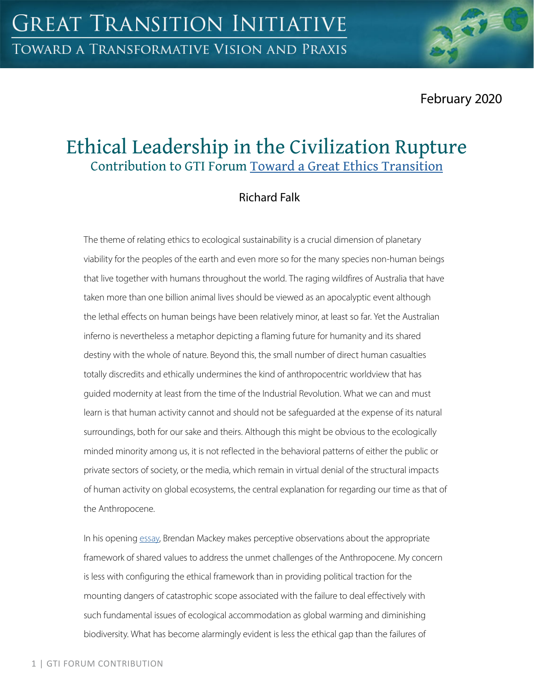February 2020

# Ethical Leadership in the Civilization Rupture Contribution to GTI Forum [Toward a Great Ethics Transition](https://greattransition.org/gti-forum/great-ethics-transition)

## Richard Falk

The theme of relating ethics to ecological sustainability is a crucial dimension of planetary viability for the peoples of the earth and even more so for the many species non-human beings that live together with humans throughout the world. The raging wildfires of Australia that have taken more than one billion animal lives should be viewed as an apocalyptic event although the lethal effects on human beings have been relatively minor, at least so far. Yet the Australian inferno is nevertheless a metaphor depicting a flaming future for humanity and its shared destiny with the whole of nature. Beyond this, the small number of direct human casualties totally discredits and ethically undermines the kind of anthropocentric worldview that has guided modernity at least from the time of the Industrial Revolution. What we can and must learn is that human activity cannot and should not be safeguarded at the expense of its natural surroundings, both for our sake and theirs. Although this might be obvious to the ecologically minded minority among us, it is not reflected in the behavioral patterns of either the public or private sectors of society, or the media, which remain in virtual denial of the structural impacts of human activity on global ecosystems, the central explanation for regarding our time as that of the Anthropocene.

In his opening [essay,](https://greattransition.org/gti-forum/ethics-transition-mackey) Brendan Mackey makes perceptive observations about the appropriate framework of shared values to address the unmet challenges of the Anthropocene. My concern is less with configuring the ethical framework than in providing political traction for the mounting dangers of catastrophic scope associated with the failure to deal effectively with such fundamental issues of ecological accommodation as global warming and diminishing biodiversity. What has become alarmingly evident is less the ethical gap than the failures of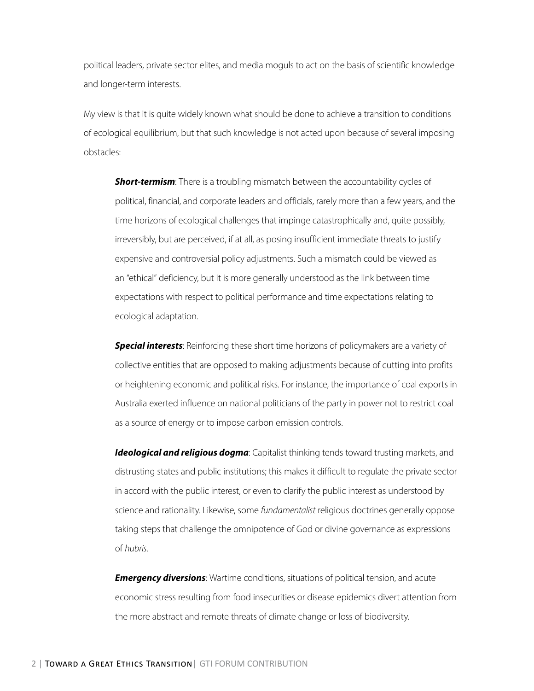political leaders, private sector elites, and media moguls to act on the basis of scientific knowledge and longer-term interests.

My view is that it is quite widely known what should be done to achieve a transition to conditions of ecological equilibrium, but that such knowledge is not acted upon because of several imposing obstacles:

**Short-termism**: There is a troubling mismatch between the accountability cycles of political, financial, and corporate leaders and officials, rarely more than a few years, and the time horizons of ecological challenges that impinge catastrophically and, quite possibly, irreversibly, but are perceived, if at all, as posing insufficient immediate threats to justify expensive and controversial policy adjustments. Such a mismatch could be viewed as an "ethical" deficiency, but it is more generally understood as the link between time expectations with respect to political performance and time expectations relating to ecological adaptation.

*Special interests*: Reinforcing these short time horizons of policymakers are a variety of collective entities that are opposed to making adjustments because of cutting into profits or heightening economic and political risks. For instance, the importance of coal exports in Australia exerted influence on national politicians of the party in power not to restrict coal as a source of energy or to impose carbon emission controls.

**Ideological and religious dogma**: Capitalist thinking tends toward trusting markets, and distrusting states and public institutions; this makes it difficult to regulate the private sector in accord with the public interest, or even to clarify the public interest as understood by science and rationality. Likewise, some *fundamentalist* religious doctrines generally oppose taking steps that challenge the omnipotence of God or divine governance as expressions of *hubris*.

*Emergency diversions*: Wartime conditions, situations of political tension, and acute economic stress resulting from food insecurities or disease epidemics divert attention from the more abstract and remote threats of climate change or loss of biodiversity.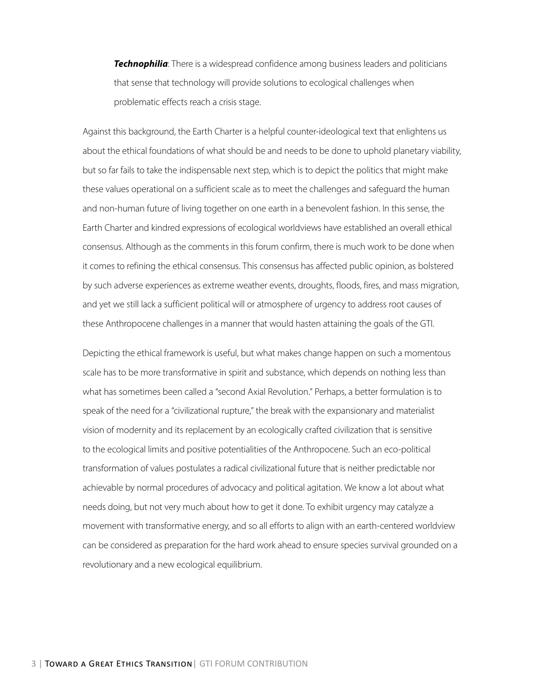*Technophilia*: There is a widespread confidence among business leaders and politicians that sense that technology will provide solutions to ecological challenges when problematic effects reach a crisis stage.

Against this background, the Earth Charter is a helpful counter-ideological text that enlightens us about the ethical foundations of what should be and needs to be done to uphold planetary viability, but so far fails to take the indispensable next step, which is to depict the politics that might make these values operational on a sufficient scale as to meet the challenges and safeguard the human and non-human future of living together on one earth in a benevolent fashion. In this sense, the Earth Charter and kindred expressions of ecological worldviews have established an overall ethical consensus. Although as the comments in this forum confirm, there is much work to be done when it comes to refining the ethical consensus. This consensus has affected public opinion, as bolstered by such adverse experiences as extreme weather events, droughts, floods, fires, and mass migration, and yet we still lack a sufficient political will or atmosphere of urgency to address root causes of these Anthropocene challenges in a manner that would hasten attaining the goals of the GTI.

Depicting the ethical framework is useful, but what makes change happen on such a momentous scale has to be more transformative in spirit and substance, which depends on nothing less than what has sometimes been called a "second Axial Revolution." Perhaps, a better formulation is to speak of the need for a "civilizational rupture," the break with the expansionary and materialist vision of modernity and its replacement by an ecologically crafted civilization that is sensitive to the ecological limits and positive potentialities of the Anthropocene. Such an eco-political transformation of values postulates a radical civilizational future that is neither predictable nor achievable by normal procedures of advocacy and political agitation. We know a lot about what needs doing, but not very much about how to get it done. To exhibit urgency may catalyze a movement with transformative energy, and so all efforts to align with an earth-centered worldview can be considered as preparation for the hard work ahead to ensure species survival grounded on a revolutionary and a new ecological equilibrium.